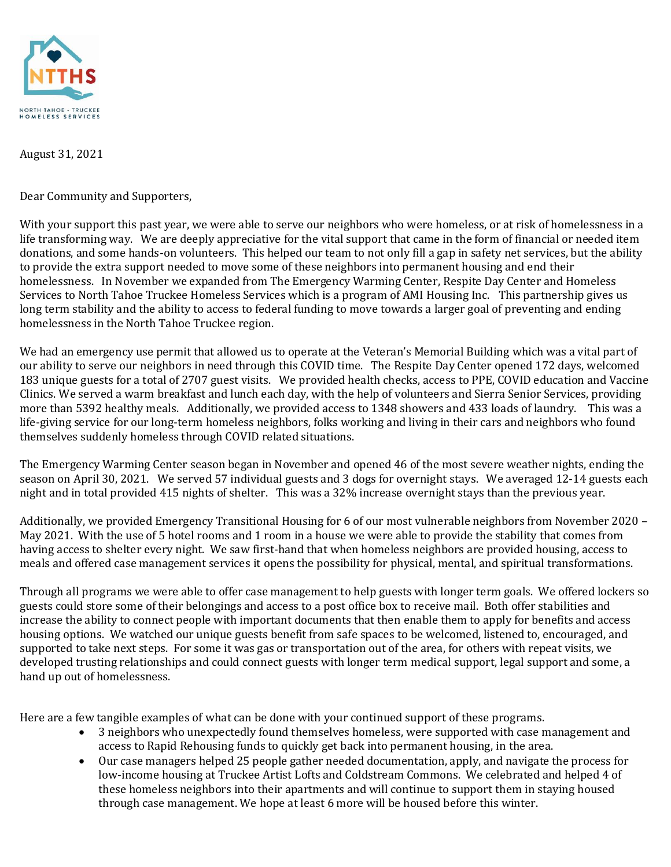

August 31, 2021

Dear Community and Supporters,

With your support this past year, we were able to serve our neighbors who were homeless, or at risk of homelessness in a life transforming way. We are deeply appreciative for the vital support that came in the form of financial or needed item donations, and some hands-on volunteers. This helped our team to not only fill a gap in safety net services, but the ability to provide the extra support needed to move some of these neighbors into permanent housing and end their homelessness. In November we expanded from The Emergency Warming Center, Respite Day Center and Homeless Services to North Tahoe Truckee Homeless Services which is a program of AMI Housing Inc. This partnership gives us long term stability and the ability to access to federal funding to move towards a larger goal of preventing and ending homelessness in the North Tahoe Truckee region.

We had an emergency use permit that allowed us to operate at the Veteran's Memorial Building which was a vital part of our ability to serve our neighbors in need through this COVID time. The Respite Day Center opened 172 days, welcomed 183 unique guests for a total of 2707 guest visits. We provided health checks, access to PPE, COVID education and Vaccine Clinics. We served a warm breakfast and lunch each day, with the help of volunteers and Sierra Senior Services, providing more than 5392 healthy meals. Additionally, we provided access to 1348 showers and 433 loads of laundry. This was a life-giving service for our long-term homeless neighbors, folks working and living in their cars and neighbors who found themselves suddenly homeless through COVID related situations.

The Emergency Warming Center season began in November and opened 46 of the most severe weather nights, ending the season on April 30, 2021. We served 57 individual guests and 3 dogs for overnight stays. We averaged 12-14 guests each night and in total provided 415 nights of shelter. This was a 32% increase overnight stays than the previous year.

Additionally, we provided Emergency Transitional Housing for 6 of our most vulnerable neighbors from November 2020 – May 2021. With the use of 5 hotel rooms and 1 room in a house we were able to provide the stability that comes from having access to shelter every night. We saw first-hand that when homeless neighbors are provided housing, access to meals and offered case management services it opens the possibility for physical, mental, and spiritual transformations.

Through all programs we were able to offer case management to help guests with longer term goals. We offered lockers so guests could store some of their belongings and access to a post office box to receive mail. Both offer stabilities and increase the ability to connect people with important documents that then enable them to apply for benefits and access housing options. We watched our unique guests benefit from safe spaces to be welcomed, listened to, encouraged, and supported to take next steps. For some it was gas or transportation out of the area, for others with repeat visits, we developed trusting relationships and could connect guests with longer term medical support, legal support and some, a hand up out of homelessness.

Here are a few tangible examples of what can be done with your continued support of these programs.

- 3 neighbors who unexpectedly found themselves homeless, were supported with case management and access to Rapid Rehousing funds to quickly get back into permanent housing, in the area.
- Our case managers helped 25 people gather needed documentation, apply, and navigate the process for low-income housing at Truckee Artist Lofts and Coldstream Commons. We celebrated and helped 4 of these homeless neighbors into their apartments and will continue to support them in staying housed through case management. We hope at least 6 more will be housed before this winter.